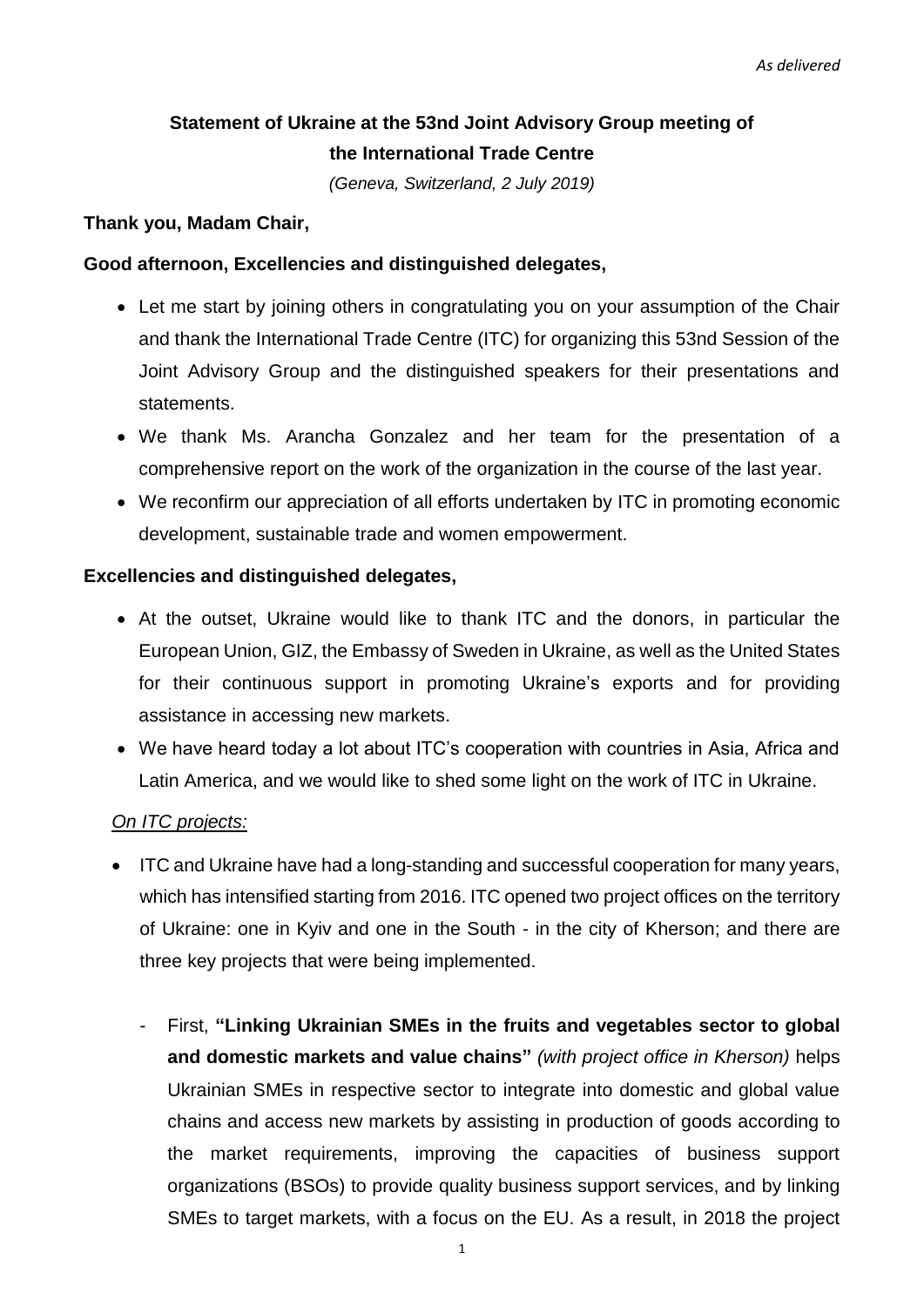# **Statement of Ukraine at the 53nd Joint Advisory Group meeting of the International Trade Centre**

*(Geneva, Switzerland, 2 July 2019)*

#### **Thank you, Madam Chair,**

### **Good afternoon, Excellencies and distinguished delegates,**

- Let me start by joining others in congratulating you on your assumption of the Chair and thank the International Trade Centre (ITC) for organizing this 53nd Session of the Joint Advisory Group and the distinguished speakers for their presentations and statements.
- We thank Ms. Arancha Gonzalez and her team for the presentation of a comprehensive report on the work of the organization in the course of the last year.
- We reconfirm our appreciation of all efforts undertaken by ITC in promoting economic development, sustainable trade and women empowerment.

### **Excellencies and distinguished delegates,**

- At the outset, Ukraine would like to thank ITC and the donors, in particular the European Union, GIZ, the Embassy of Sweden in Ukraine, as well as the United States for their continuous support in promoting Ukraine's exports and for providing assistance in accessing new markets.
- We have heard today a lot about ITC's cooperation with countries in Asia, Africa and Latin America, and we would like to shed some light on the work of ITC in Ukraine.

#### *On ITC projects:*

- ITC and Ukraine have had a long-standing and successful cooperation for many years, which has intensified starting from 2016. ITC opened two project offices on the territory of Ukraine: one in Kyiv and one in the South - in the city of Kherson; and there are three key projects that were being implemented.
	- First, **"Linking Ukrainian SMEs in the fruits and vegetables sector to global and domestic markets and value chains"** *(with project office in Kherson)* helps Ukrainian SMEs in respective sector to integrate into domestic and global value chains and access new markets by assisting in production of goods according to the market requirements, improving the capacities of business support organizations (BSOs) to provide quality business support services, and by linking SMEs to target markets, with a focus on the EU. As a result, in 2018 the project